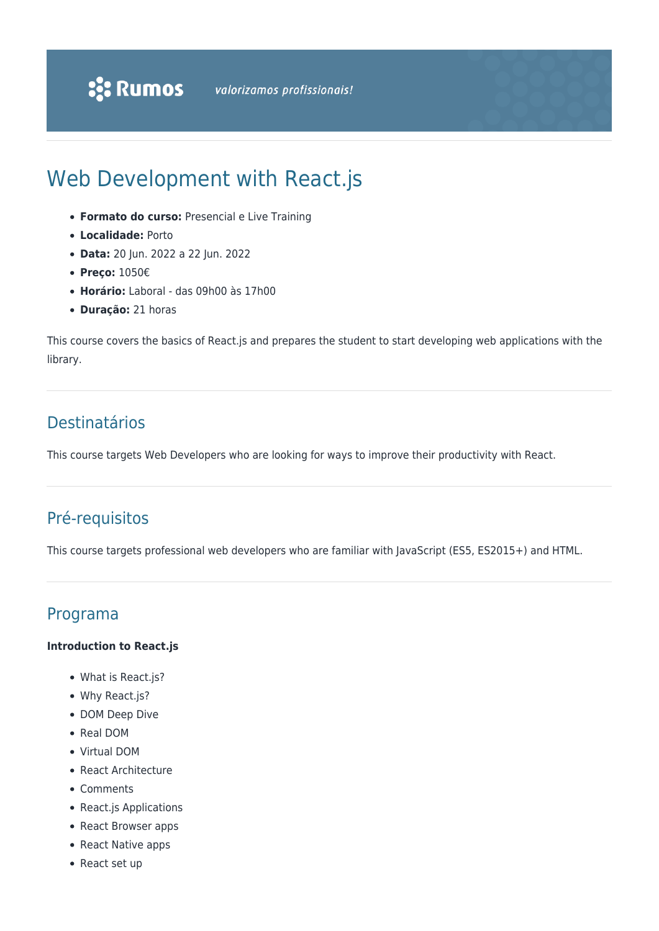# Web Development with React.js

- **Formato do curso:** Presencial e Live Training
- **Localidade:** Porto
- **Data:** 20 Jun. 2022 a 22 Jun. 2022
- **Preço:** 1050€
- **Horário:** Laboral das 09h00 às 17h00
- **Duração:** 21 horas

This course covers the basics of React.js and prepares the student to start developing web applications with the library.

# Destinatários

This course targets Web Developers who are looking for ways to improve their productivity with React.

# Pré-requisitos

This course targets professional web developers who are familiar with JavaScript (ES5, ES2015+) and HTML.

# Programa

#### **Introduction to React.js**

- What is React.js?
- Why React.js?
- DOM Deep Dive
- Real DOM
- Virtual DOM
- React Architecture
- Comments
- React.js Applications
- React Browser apps
- React Native apps
- React set up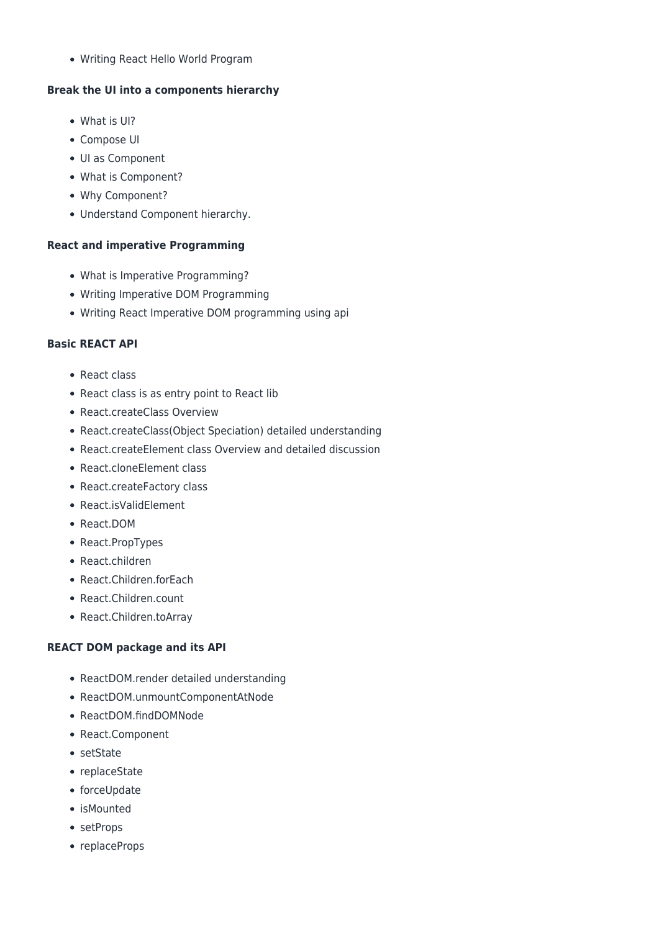Writing React Hello World Program

#### **Break the UI into a components hierarchy**

- What is UI?
- Compose UI
- UI as Component
- What is Component?
- Why Component?
- Understand Component hierarchy.

#### **React and imperative Programming**

- What is Imperative Programming?
- Writing Imperative DOM Programming
- Writing React Imperative DOM programming using api

#### **Basic REACT API**

- React class
- React class is as entry point to React lib
- React.createClass Overview
- React.createClass(Object Speciation) detailed understanding
- React.createElement class Overview and detailed discussion
- React.cloneElement class
- React.createFactory class
- React.isValidElement
- React.DOM
- React.PropTypes
- React.children
- React.Children.forEach
- React.Children.count
- React.Children.toArray

#### **REACT DOM package and its API**

- ReactDOM.render detailed understanding
- ReactDOM.unmountComponentAtNode
- ReactDOM.findDOMNode
- React.Component
- setState
- replaceState
- forceUpdate
- isMounted
- setProps
- replaceProps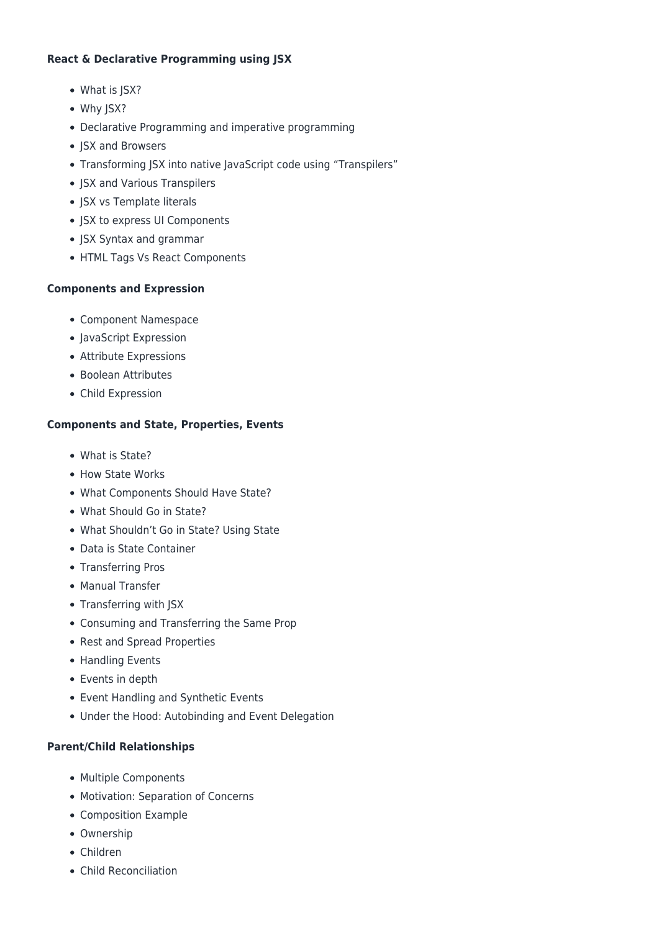#### **React & Declarative Programming using JSX**

- What is JSX?
- Why JSX?
- Declarative Programming and imperative programming
- JSX and Browsers
- Transforming ISX into native lavaScript code using "Transpilers"
- JSX and Various Transpilers
- JSX vs Template literals
- JSX to express UI Components
- JSX Syntax and grammar
- HTML Tags Vs React Components

#### **Components and Expression**

- Component Namespace
- JavaScript Expression
- Attribute Expressions
- Boolean Attributes
- Child Expression

#### **Components and State, Properties, Events**

- What is State?
- How State Works
- What Components Should Have State?
- What Should Go in State?
- What Shouldn't Go in State? Using State
- Data is State Container
- Transferring Pros
- Manual Transfer
- Transferring with JSX
- Consuming and Transferring the Same Prop
- Rest and Spread Properties
- Handling Events
- Events in depth
- Event Handling and Synthetic Events
- Under the Hood: Autobinding and Event Delegation

#### **Parent/Child Relationships**

- Multiple Components
- Motivation: Separation of Concerns
- Composition Example
- Ownership
- Children
- Child Reconciliation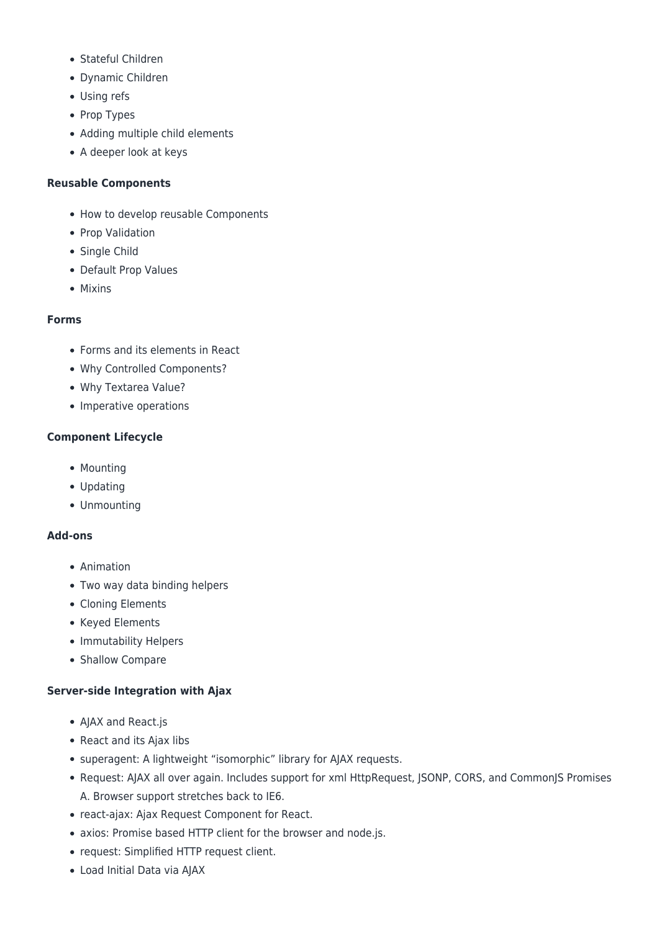- Stateful Children
- Dynamic Children
- Using refs
- Prop Types
- Adding multiple child elements
- A deeper look at keys

### **Reusable Components**

- How to develop reusable Components
- Prop Validation
- Single Child
- Default Prop Values
- Mixins

## **Forms**

- Forms and its elements in React
- Why Controlled Components?
- Why Textarea Value?
- Imperative operations

## **Component Lifecycle**

- Mounting
- Updating
- Unmounting

#### **Add-ons**

- Animation
- Two way data binding helpers
- Cloning Elements
- Keyed Elements
- Immutability Helpers
- Shallow Compare

# **Server-side Integration with Ajax**

- AJAX and React.js
- React and its Ajax libs
- superagent: A lightweight "isomorphic" library for AJAX requests.
- Request: AJAX all over again. Includes support for xml HttpRequest, JSONP, CORS, and CommonJS Promises A. Browser support stretches back to IE6.
- react-ajax: Ajax Request Component for React.
- axios: Promise based HTTP client for the browser and node.js.
- request: Simplified HTTP request client.
- Load Initial Data via AJAX